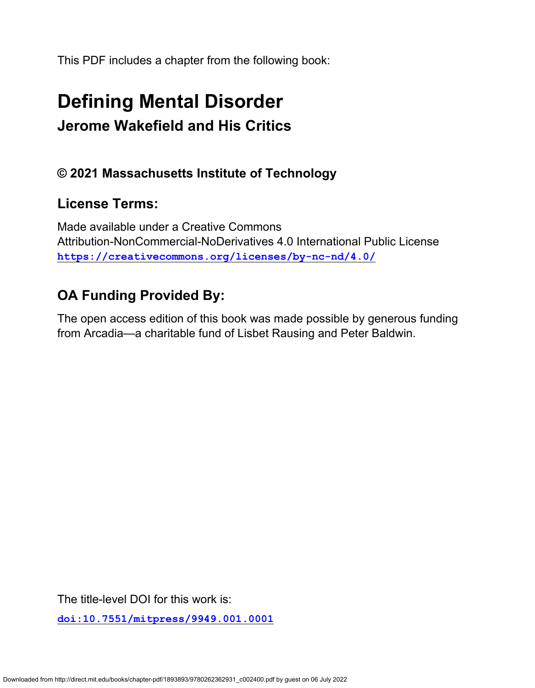This PDF includes a chapter from the following book:

# **Defining Mental Disorder Jerome Wakefield and His Critics**

### **© 2021 Massachusetts Institute of Technology**

### **License Terms:**

Made available under a Creative Commons Attribution-NonCommercial-NoDerivatives 4.0 International Public License **<https://creativecommons.org/licenses/by-nc-nd/4.0/>**

## **OA Funding Provided By:**

The open access edition of this book was made possible by generous funding from Arcadia—a charitable fund of Lisbet Rausing and Peter Baldwin.

The title-level DOI for this work is:

**[doi:10.7551/mitpress/9949.001.0001](https://doi.org/10.7551/mitpress/9949.001.0001)**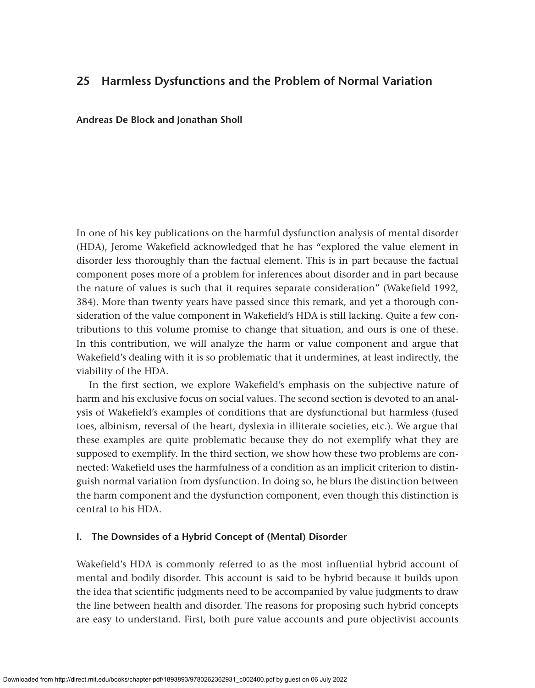### **25 Harmless Dysfunctions and the Problem of Normal Variation**

**Andreas De Block and Jonathan Sholl**

In one of his key publications on the harmful dysfunction analysis of mental disorder (HDA), Jerome Wakefield acknowledged that he has "explored the value element in disorder less thoroughly than the factual element. This is in part because the factual component poses more of a problem for inferences about disorder and in part because the nature of values is such that it requires separate consideration" (Wakefield 1992, 384). More than twenty years have passed since this remark, and yet a thorough consideration of the value component in Wakefield's HDA is still lacking. Quite a few contributions to this volume promise to change that situation, and ours is one of these. In this contribution, we will analyze the harm or value component and argue that Wakefield's dealing with it is so problematic that it undermines, at least indirectly, the viability of the HDA.

In the first section, we explore Wakefield's emphasis on the subjective nature of harm and his exclusive focus on social values. The second section is devoted to an analysis of Wakefield's examples of conditions that are dysfunctional but harmless (fused toes, albinism, reversal of the heart, dyslexia in illiterate societies, etc.). We argue that these examples are quite problematic because they do not exemplify what they are supposed to exemplify. In the third section, we show how these two problems are connected: Wakefield uses the harmfulness of a condition as an implicit criterion to distinguish normal variation from dysfunction. In doing so, he blurs the distinction between the harm component and the dysfunction component, even though this distinction is central to his HDA.

#### **I. The Downsides of a Hybrid Concept of (Mental) Disorder**

Wakefield's HDA is commonly referred to as the most influential hybrid account of mental and bodily disorder. This account is said to be hybrid because it builds upon the idea that scientific judgments need to be accompanied by value judgments to draw the line between health and disorder. The reasons for proposing such hybrid concepts are easy to understand. First, both pure value accounts and pure objectivist accounts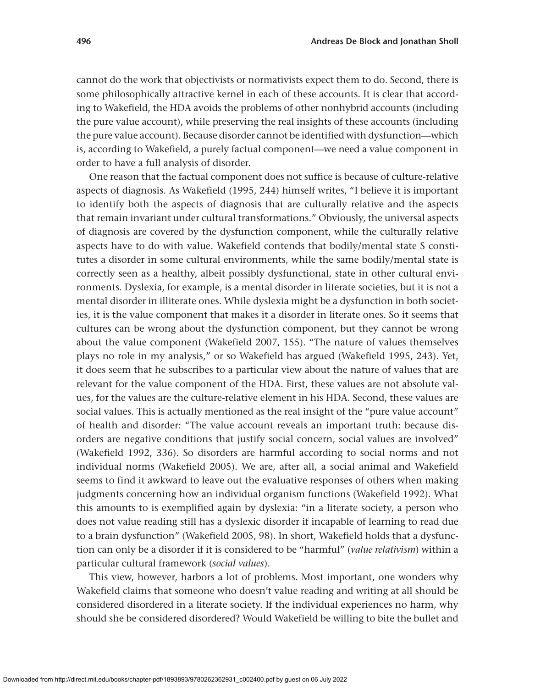cannot do the work that objectivists or normativists expect them to do. Second, there is some philosophically attractive kernel in each of these accounts. It is clear that according to Wakefield, the HDA avoids the problems of other nonhybrid accounts (including the pure value account), while preserving the real insights of these accounts (including the pure value account). Because disorder cannot be identified with dysfunction—which is, according to Wakefield, a purely factual component—we need a value component in order to have a full analysis of disorder.

One reason that the factual component does not suffice is because of culture-relative aspects of diagnosis. As Wakefield (1995, 244) himself writes, "I believe it is important to identify both the aspects of diagnosis that are culturally relative and the aspects that remain invariant under cultural transformations." Obviously, the universal aspects of diagnosis are covered by the dysfunction component, while the culturally relative aspects have to do with value. Wakefield contends that bodily/mental state S constitutes a disorder in some cultural environments, while the same bodily/mental state is correctly seen as a healthy, albeit possibly dysfunctional, state in other cultural environments. Dyslexia, for example, is a mental disorder in literate societies, but it is not a mental disorder in illiterate ones. While dyslexia might be a dysfunction in both societies, it is the value component that makes it a disorder in literate ones. So it seems that cultures can be wrong about the dysfunction component, but they cannot be wrong about the value component (Wakefield 2007, 155). "The nature of values themselves plays no role in my analysis," or so Wakefield has argued (Wakefield 1995, 243). Yet, it does seem that he subscribes to a particular view about the nature of values that are relevant for the value component of the HDA. First, these values are not absolute values, for the values are the culture-relative element in his HDA. Second, these values are social values. This is actually mentioned as the real insight of the "pure value account" of health and disorder: "The value account reveals an important truth: because disorders are negative conditions that justify social concern, social values are involved" (Wakefield 1992, 336). So disorders are harmful according to social norms and not individual norms (Wakefield 2005). We are, after all, a social animal and Wakefield seems to find it awkward to leave out the evaluative responses of others when making judgments concerning how an individual organism functions (Wakefield 1992). What this amounts to is exemplified again by dyslexia: "in a literate society, a person who does not value reading still has a dyslexic disorder if incapable of learning to read due to a brain dysfunction" (Wakefield 2005, 98). In short, Wakefield holds that a dysfunction can only be a disorder if it is considered to be "harmful" (*value relativism*) within a particular cultural framework (*social values*).

This view, however, harbors a lot of problems. Most important, one wonders why Wakefield claims that someone who doesn't value reading and writing at all should be considered disordered in a literate society. If the individual experiences no harm, why should she be considered disordered? Would Wakefield be willing to bite the bullet and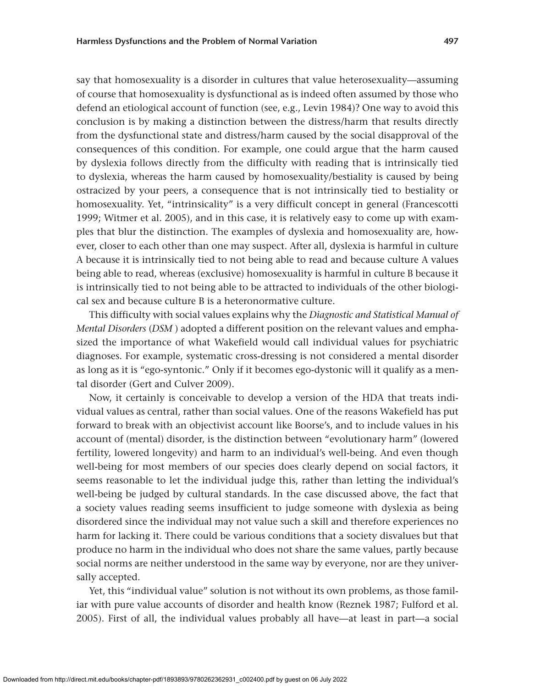say that homosexuality is a disorder in cultures that value heterosexuality—assuming of course that homosexuality is dysfunctional as is indeed often assumed by those who defend an etiological account of function (see, e.g., Levin 1984)? One way to avoid this conclusion is by making a distinction between the distress/harm that results directly from the dysfunctional state and distress/harm caused by the social disapproval of the consequences of this condition. For example, one could argue that the harm caused by dyslexia follows directly from the difficulty with reading that is intrinsically tied to dyslexia, whereas the harm caused by homosexuality/bestiality is caused by being ostracized by your peers, a consequence that is not intrinsically tied to bestiality or homosexuality. Yet, "intrinsicality" is a very difficult concept in general (Francescotti 1999; Witmer et al. 2005), and in this case, it is relatively easy to come up with examples that blur the distinction. The examples of dyslexia and homosexuality are, however, closer to each other than one may suspect. After all, dyslexia is harmful in culture A because it is intrinsically tied to not being able to read and because culture A values being able to read, whereas (exclusive) homosexuality is harmful in culture B because it is intrinsically tied to not being able to be attracted to individuals of the other biological sex and because culture B is a heteronormative culture.

This difficulty with social values explains why the *Diagnostic and Statistical Manual of Mental Disorders* (*DSM* ) adopted a different position on the relevant values and emphasized the importance of what Wakefield would call individual values for psychiatric diagnoses. For example, systematic cross-dressing is not considered a mental disorder as long as it is "ego-syntonic." Only if it becomes ego-dystonic will it qualify as a mental disorder (Gert and Culver 2009).

Now, it certainly is conceivable to develop a version of the HDA that treats individual values as central, rather than social values. One of the reasons Wakefield has put forward to break with an objectivist account like Boorse's, and to include values in his account of (mental) disorder, is the distinction between "evolutionary harm" (lowered fertility, lowered longevity) and harm to an individual's well-being. And even though well-being for most members of our species does clearly depend on social factors, it seems reasonable to let the individual judge this, rather than letting the individual's well-being be judged by cultural standards. In the case discussed above, the fact that a society values reading seems insufficient to judge someone with dyslexia as being disordered since the individual may not value such a skill and therefore experiences no harm for lacking it. There could be various conditions that a society disvalues but that produce no harm in the individual who does not share the same values, partly because social norms are neither understood in the same way by everyone, nor are they universally accepted.

Yet, this "individual value" solution is not without its own problems, as those familiar with pure value accounts of disorder and health know (Reznek 1987; Fulford et al. 2005). First of all, the individual values probably all have—at least in part—a social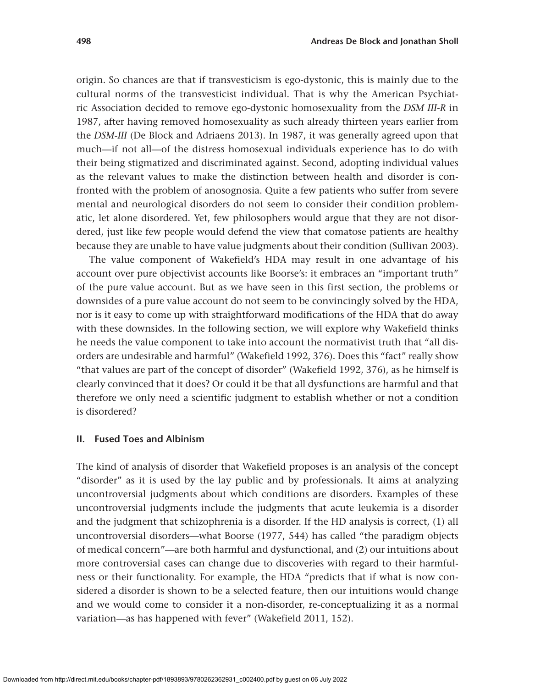origin. So chances are that if transvesticism is ego-dystonic, this is mainly due to the cultural norms of the transvesticist individual. That is why the American Psychiatric Association decided to remove ego-dystonic homosexuality from the *DSM III-R* in 1987, after having removed homosexuality as such already thirteen years earlier from the *DSM-III* (De Block and Adriaens 2013). In 1987, it was generally agreed upon that much—if not all—of the distress homosexual individuals experience has to do with their being stigmatized and discriminated against. Second, adopting individual values as the relevant values to make the distinction between health and disorder is confronted with the problem of anosognosia. Quite a few patients who suffer from severe mental and neurological disorders do not seem to consider their condition problematic, let alone disordered. Yet, few philosophers would argue that they are not disordered, just like few people would defend the view that comatose patients are healthy because they are unable to have value judgments about their condition (Sullivan 2003).

The value component of Wakefield's HDA may result in one advantage of his account over pure objectivist accounts like Boorse's: it embraces an "important truth" of the pure value account. But as we have seen in this first section, the problems or downsides of a pure value account do not seem to be convincingly solved by the HDA, nor is it easy to come up with straightforward modifications of the HDA that do away with these downsides. In the following section, we will explore why Wakefield thinks he needs the value component to take into account the normativist truth that "all disorders are undesirable and harmful" (Wakefield 1992, 376). Does this "fact" really show "that values are part of the concept of disorder" (Wakefield 1992, 376), as he himself is clearly convinced that it does? Or could it be that all dysfunctions are harmful and that therefore we only need a scientific judgment to establish whether or not a condition is disordered?

#### **II. Fused Toes and Albinism**

The kind of analysis of disorder that Wakefield proposes is an analysis of the concept "disorder" as it is used by the lay public and by professionals. It aims at analyzing uncontroversial judgments about which conditions are disorders. Examples of these uncontroversial judgments include the judgments that acute leukemia is a disorder and the judgment that schizophrenia is a disorder. If the HD analysis is correct, (1) all uncontroversial disorders—what Boorse (1977, 544) has called "the paradigm objects of medical concern"—are both harmful and dysfunctional, and (2) our intuitions about more controversial cases can change due to discoveries with regard to their harmfulness or their functionality. For example, the HDA "predicts that if what is now considered a disorder is shown to be a selected feature, then our intuitions would change and we would come to consider it a non-disorder, re-conceptualizing it as a normal variation—as has happened with fever" (Wakefield 2011, 152).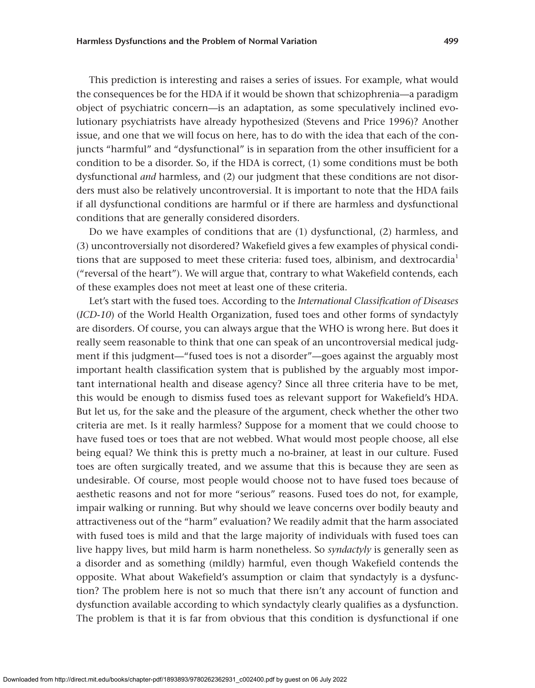This prediction is interesting and raises a series of issues. For example, what would the consequences be for the HDA if it would be shown that schizophrenia—a paradigm object of psychiatric concern—is an adaptation, as some speculatively inclined evolutionary psychiatrists have already hypothesized (Stevens and Price 1996)? Another issue, and one that we will focus on here, has to do with the idea that each of the conjuncts "harmful" and "dysfunctional" is in separation from the other insufficient for a condition to be a disorder. So, if the HDA is correct, (1) some conditions must be both dysfunctional *and* harmless, and (2) our judgment that these conditions are not disorders must also be relatively uncontroversial. It is important to note that the HDA fails if all dysfunctional conditions are harmful or if there are harmless and dysfunctional conditions that are generally considered disorders.

Do we have examples of conditions that are (1) dysfunctional, (2) harmless, and (3) uncontroversially not disordered? Wakefield gives a few examples of physical conditions that are supposed to meet these criteria: fused toes, albinism, and dextrocardia<sup>1</sup> ("reversal of the heart"). We will argue that, contrary to what Wakefield contends, each of these examples does not meet at least one of these criteria.

Let's start with the fused toes. According to the *International Classification of Diseases* (*ICD-10*) of the World Health Organization, fused toes and other forms of syndactyly are disorders. Of course, you can always argue that the WHO is wrong here. But does it really seem reasonable to think that one can speak of an uncontroversial medical judgment if this judgment—"fused toes is not a disorder"—goes against the arguably most important health classification system that is published by the arguably most important international health and disease agency? Since all three criteria have to be met, this would be enough to dismiss fused toes as relevant support for Wakefield's HDA. But let us, for the sake and the pleasure of the argument, check whether the other two criteria are met. Is it really harmless? Suppose for a moment that we could choose to have fused toes or toes that are not webbed. What would most people choose, all else being equal? We think this is pretty much a no-brainer, at least in our culture. Fused toes are often surgically treated, and we assume that this is because they are seen as undesirable. Of course, most people would choose not to have fused toes because of aesthetic reasons and not for more "serious" reasons. Fused toes do not, for example, impair walking or running. But why should we leave concerns over bodily beauty and attractiveness out of the "harm" evaluation? We readily admit that the harm associated with fused toes is mild and that the large majority of individuals with fused toes can live happy lives, but mild harm is harm nonetheless. So *syndactyly* is generally seen as a disorder and as something (mildly) harmful, even though Wakefield contends the opposite. What about Wakefield's assumption or claim that syndactyly is a dysfunction? The problem here is not so much that there isn't any account of function and dysfunction available according to which syndactyly clearly qualifies as a dysfunction. The problem is that it is far from obvious that this condition is dysfunctional if one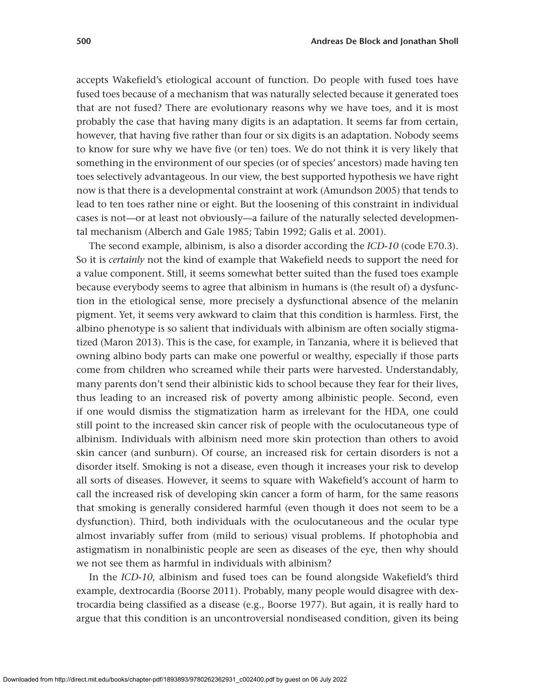accepts Wakefield's etiological account of function. Do people with fused toes have fused toes because of a mechanism that was naturally selected because it generated toes that are not fused? There are evolutionary reasons why we have toes, and it is most probably the case that having many digits is an adaptation. It seems far from certain, however, that having five rather than four or six digits is an adaptation. Nobody seems to know for sure why we have five (or ten) toes. We do not think it is very likely that something in the environment of our species (or of species' ancestors) made having ten toes selectively advantageous. In our view, the best supported hypothesis we have right now is that there is a developmental constraint at work (Amundson 2005) that tends to lead to ten toes rather nine or eight. But the loosening of this constraint in individual cases is not—or at least not obviously—a failure of the naturally selected developmental mechanism (Alberch and Gale 1985; Tabin 1992; Galis et al. 2001).

The second example, albinism, is also a disorder according the *ICD-10* (code E70.3). So it is *certainly* not the kind of example that Wakefield needs to support the need for a value component. Still, it seems somewhat better suited than the fused toes example because everybody seems to agree that albinism in humans is (the result of) a dysfunction in the etiological sense, more precisely a dysfunctional absence of the melanin pigment. Yet, it seems very awkward to claim that this condition is harmless. First, the albino phenotype is so salient that individuals with albinism are often socially stigmatized (Maron 2013). This is the case, for example, in Tanzania, where it is believed that owning albino body parts can make one powerful or wealthy, especially if those parts come from children who screamed while their parts were harvested. Understandably, many parents don't send their albinistic kids to school because they fear for their lives, thus leading to an increased risk of poverty among albinistic people. Second, even if one would dismiss the stigmatization harm as irrelevant for the HDA, one could still point to the increased skin cancer risk of people with the oculocutaneous type of albinism. Individuals with albinism need more skin protection than others to avoid skin cancer (and sunburn). Of course, an increased risk for certain disorders is not a disorder itself. Smoking is not a disease, even though it increases your risk to develop all sorts of diseases. However, it seems to square with Wakefield's account of harm to call the increased risk of developing skin cancer a form of harm, for the same reasons that smoking is generally considered harmful (even though it does not seem to be a dysfunction). Third, both individuals with the oculocutaneous and the ocular type almost invariably suffer from (mild to serious) visual problems. If photophobia and astigmatism in nonalbinistic people are seen as diseases of the eye, then why should we not see them as harmful in individuals with albinism?

In the *ICD-10*, albinism and fused toes can be found alongside Wakefield's third example, dextrocardia (Boorse 2011). Probably, many people would disagree with dextrocardia being classified as a disease (e.g., Boorse 1977). But again, it is really hard to argue that this condition is an uncontroversial nondiseased condition, given its being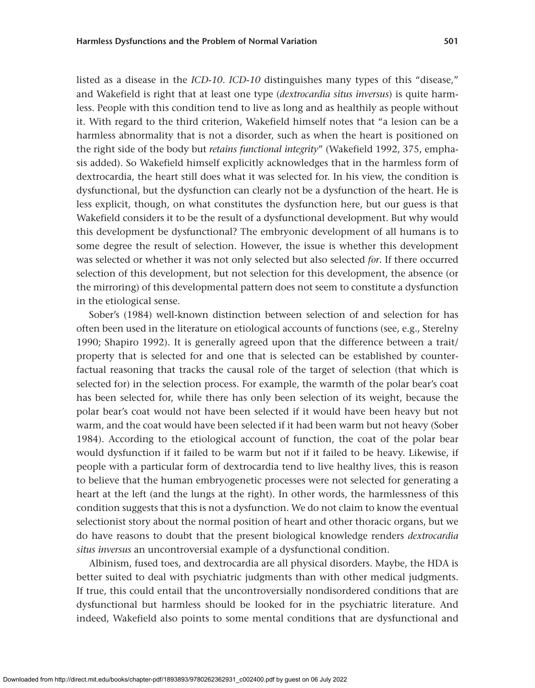listed as a disease in the *ICD-10*. *ICD-10* distinguishes many types of this "disease," and Wakefield is right that at least one type (*dextrocardia situs inversus*) is quite harmless. People with this condition tend to live as long and as healthily as people without it. With regard to the third criterion, Wakefield himself notes that "a lesion can be a harmless abnormality that is not a disorder, such as when the heart is positioned on the right side of the body but *retains functional integrity*" (Wakefield 1992, 375, emphasis added). So Wakefield himself explicitly acknowledges that in the harmless form of dextrocardia, the heart still does what it was selected for. In his view, the condition is dysfunctional, but the dysfunction can clearly not be a dysfunction of the heart. He is less explicit, though, on what constitutes the dysfunction here, but our guess is that Wakefield considers it to be the result of a dysfunctional development. But why would this development be dysfunctional? The embryonic development of all humans is to some degree the result of selection. However, the issue is whether this development was selected or whether it was not only selected but also selected *for*. If there occurred selection of this development, but not selection for this development, the absence (or the mirroring) of this developmental pattern does not seem to constitute a dysfunction in the etiological sense.

Sober's (1984) well-known distinction between selection of and selection for has often been used in the literature on etiological accounts of functions (see, e.g., Sterelny 1990; Shapiro 1992). It is generally agreed upon that the difference between a trait/ property that is selected for and one that is selected can be established by counterfactual reasoning that tracks the causal role of the target of selection (that which is selected for) in the selection process. For example, the warmth of the polar bear's coat has been selected for, while there has only been selection of its weight, because the polar bear's coat would not have been selected if it would have been heavy but not warm, and the coat would have been selected if it had been warm but not heavy (Sober 1984). According to the etiological account of function, the coat of the polar bear would dysfunction if it failed to be warm but not if it failed to be heavy. Likewise, if people with a particular form of dextrocardia tend to live healthy lives, this is reason to believe that the human embryogenetic processes were not selected for generating a heart at the left (and the lungs at the right). In other words, the harmlessness of this condition suggests that this is not a dysfunction. We do not claim to know the eventual selectionist story about the normal position of heart and other thoracic organs, but we do have reasons to doubt that the present biological knowledge renders *dextrocardia situs inversus* an uncontroversial example of a dysfunctional condition.

Albinism, fused toes, and dextrocardia are all physical disorders. Maybe, the HDA is better suited to deal with psychiatric judgments than with other medical judgments. If true, this could entail that the uncontroversially nondisordered conditions that are dysfunctional but harmless should be looked for in the psychiatric literature. And indeed, Wakefield also points to some mental conditions that are dysfunctional and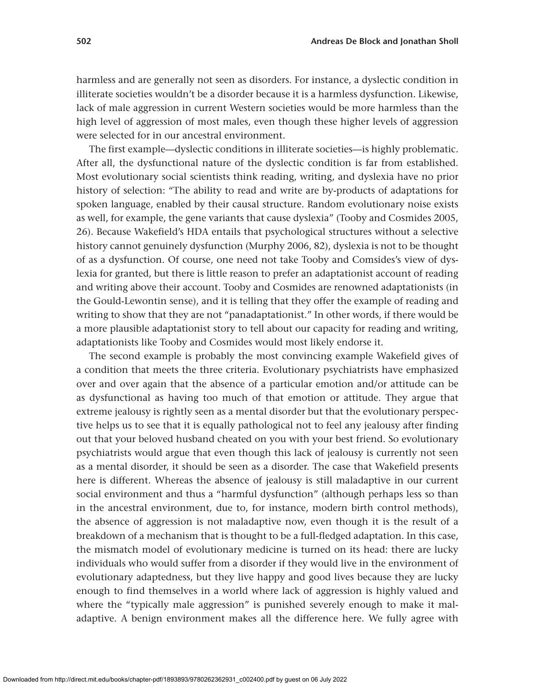harmless and are generally not seen as disorders. For instance, a dyslectic condition in illiterate societies wouldn't be a disorder because it is a harmless dysfunction. Likewise, lack of male aggression in current Western societies would be more harmless than the high level of aggression of most males, even though these higher levels of aggression were selected for in our ancestral environment.

The first example—dyslectic conditions in illiterate societies—is highly problematic. After all, the dysfunctional nature of the dyslectic condition is far from established. Most evolutionary social scientists think reading, writing, and dyslexia have no prior history of selection: "The ability to read and write are by-products of adaptations for spoken language, enabled by their causal structure. Random evolutionary noise exists as well, for example, the gene variants that cause dyslexia" (Tooby and Cosmides 2005, 26). Because Wakefield's HDA entails that psychological structures without a selective history cannot genuinely dysfunction (Murphy 2006, 82), dyslexia is not to be thought of as a dysfunction. Of course, one need not take Tooby and Comsides's view of dyslexia for granted, but there is little reason to prefer an adaptationist account of reading and writing above their account. Tooby and Cosmides are renowned adaptationists (in the Gould-Lewontin sense), and it is telling that they offer the example of reading and writing to show that they are not "panadaptationist." In other words, if there would be a more plausible adaptationist story to tell about our capacity for reading and writing, adaptationists like Tooby and Cosmides would most likely endorse it.

The second example is probably the most convincing example Wakefield gives of a condition that meets the three criteria. Evolutionary psychiatrists have emphasized over and over again that the absence of a particular emotion and/or attitude can be as dysfunctional as having too much of that emotion or attitude. They argue that extreme jealousy is rightly seen as a mental disorder but that the evolutionary perspective helps us to see that it is equally pathological not to feel any jealousy after finding out that your beloved husband cheated on you with your best friend. So evolutionary psychiatrists would argue that even though this lack of jealousy is currently not seen as a mental disorder, it should be seen as a disorder. The case that Wakefield presents here is different. Whereas the absence of jealousy is still maladaptive in our current social environment and thus a "harmful dysfunction" (although perhaps less so than in the ancestral environment, due to, for instance, modern birth control methods), the absence of aggression is not maladaptive now, even though it is the result of a breakdown of a mechanism that is thought to be a full-fledged adaptation. In this case, the mismatch model of evolutionary medicine is turned on its head: there are lucky individuals who would suffer from a disorder if they would live in the environment of evolutionary adaptedness, but they live happy and good lives because they are lucky enough to find themselves in a world where lack of aggression is highly valued and where the "typically male aggression" is punished severely enough to make it maladaptive. A benign environment makes all the difference here. We fully agree with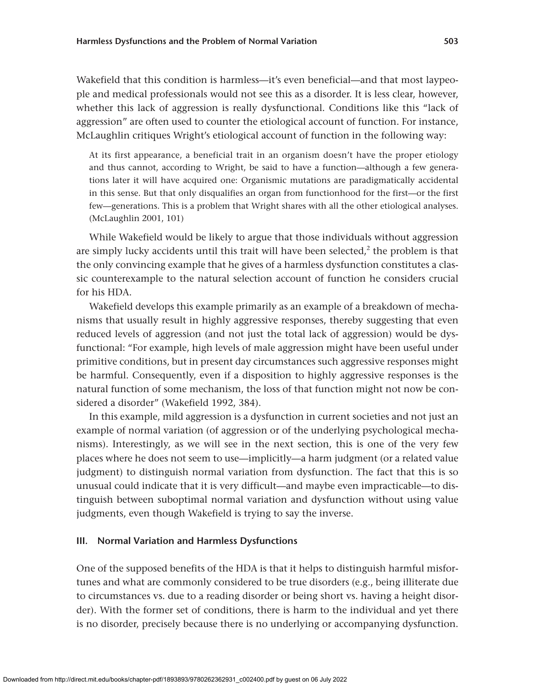Wakefield that this condition is harmless—it's even beneficial—and that most laypeople and medical professionals would not see this as a disorder. It is less clear, however, whether this lack of aggression is really dysfunctional. Conditions like this "lack of aggression" are often used to counter the etiological account of function. For instance, McLaughlin critiques Wright's etiological account of function in the following way:

At its first appearance, a beneficial trait in an organism doesn't have the proper etiology and thus cannot, according to Wright, be said to have a function—although a few generations later it will have acquired one: Organismic mutations are paradigmatically accidental in this sense. But that only disqualifies an organ from functionhood for the first—or the first few—generations. This is a problem that Wright shares with all the other etiological analyses. (McLaughlin 2001, 101)

While Wakefield would be likely to argue that those individuals without aggression are simply lucky accidents until this trait will have been selected, $2$  the problem is that the only convincing example that he gives of a harmless dysfunction constitutes a classic counterexample to the natural selection account of function he considers crucial for his HDA.

Wakefield develops this example primarily as an example of a breakdown of mechanisms that usually result in highly aggressive responses, thereby suggesting that even reduced levels of aggression (and not just the total lack of aggression) would be dysfunctional: "For example, high levels of male aggression might have been useful under primitive conditions, but in present day circumstances such aggressive responses might be harmful. Consequently, even if a disposition to highly aggressive responses is the natural function of some mechanism, the loss of that function might not now be considered a disorder" (Wakefield 1992, 384).

In this example, mild aggression is a dysfunction in current societies and not just an example of normal variation (of aggression or of the underlying psychological mechanisms). Interestingly, as we will see in the next section, this is one of the very few places where he does not seem to use—implicitly—a harm judgment (or a related value judgment) to distinguish normal variation from dysfunction. The fact that this is so unusual could indicate that it is very difficult—and maybe even impracticable—to distinguish between suboptimal normal variation and dysfunction without using value judgments, even though Wakefield is trying to say the inverse.

#### **III. Normal Variation and Harmless Dysfunctions**

One of the supposed benefits of the HDA is that it helps to distinguish harmful misfortunes and what are commonly considered to be true disorders (e.g., being illiterate due to circumstances vs. due to a reading disorder or being short vs. having a height disorder). With the former set of conditions, there is harm to the individual and yet there is no disorder, precisely because there is no underlying or accompanying dysfunction.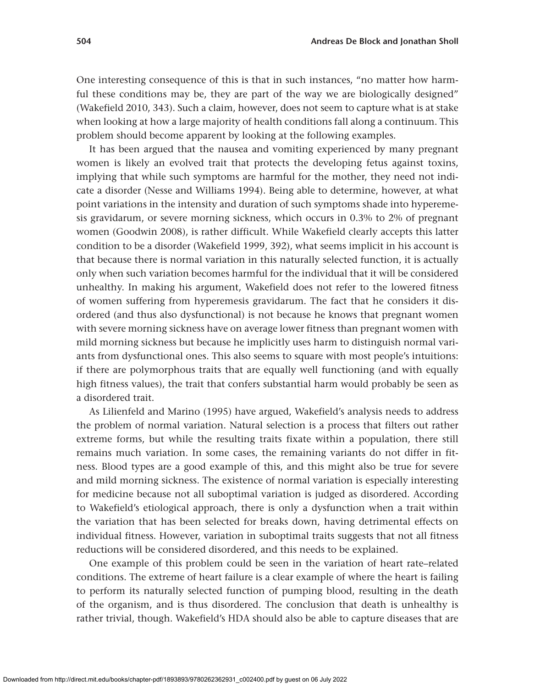One interesting consequence of this is that in such instances, "no matter how harmful these conditions may be, they are part of the way we are biologically designed" (Wakefield 2010, 343). Such a claim, however, does not seem to capture what is at stake when looking at how a large majority of health conditions fall along a continuum. This problem should become apparent by looking at the following examples.

It has been argued that the nausea and vomiting experienced by many pregnant women is likely an evolved trait that protects the developing fetus against toxins, implying that while such symptoms are harmful for the mother, they need not indicate a disorder (Nesse and Williams 1994). Being able to determine, however, at what point variations in the intensity and duration of such symptoms shade into hyperemesis gravidarum, or severe morning sickness, which occurs in 0.3% to 2% of pregnant women (Goodwin 2008), is rather difficult. While Wakefield clearly accepts this latter condition to be a disorder (Wakefield 1999, 392), what seems implicit in his account is that because there is normal variation in this naturally selected function, it is actually only when such variation becomes harmful for the individual that it will be considered unhealthy. In making his argument, Wakefield does not refer to the lowered fitness of women suffering from hyperemesis gravidarum. The fact that he considers it disordered (and thus also dysfunctional) is not because he knows that pregnant women with severe morning sickness have on average lower fitness than pregnant women with mild morning sickness but because he implicitly uses harm to distinguish normal variants from dysfunctional ones. This also seems to square with most people's intuitions: if there are polymorphous traits that are equally well functioning (and with equally high fitness values), the trait that confers substantial harm would probably be seen as a disordered trait.

As Lilienfeld and Marino (1995) have argued, Wakefield's analysis needs to address the problem of normal variation. Natural selection is a process that filters out rather extreme forms, but while the resulting traits fixate within a population, there still remains much variation. In some cases, the remaining variants do not differ in fitness. Blood types are a good example of this, and this might also be true for severe and mild morning sickness. The existence of normal variation is especially interesting for medicine because not all suboptimal variation is judged as disordered. According to Wakefield's etiological approach, there is only a dysfunction when a trait within the variation that has been selected for breaks down, having detrimental effects on individual fitness. However, variation in suboptimal traits suggests that not all fitness reductions will be considered disordered, and this needs to be explained.

One example of this problem could be seen in the variation of heart rate–related conditions. The extreme of heart failure is a clear example of where the heart is failing to perform its naturally selected function of pumping blood, resulting in the death of the organism, and is thus disordered. The conclusion that death is unhealthy is rather trivial, though. Wakefield's HDA should also be able to capture diseases that are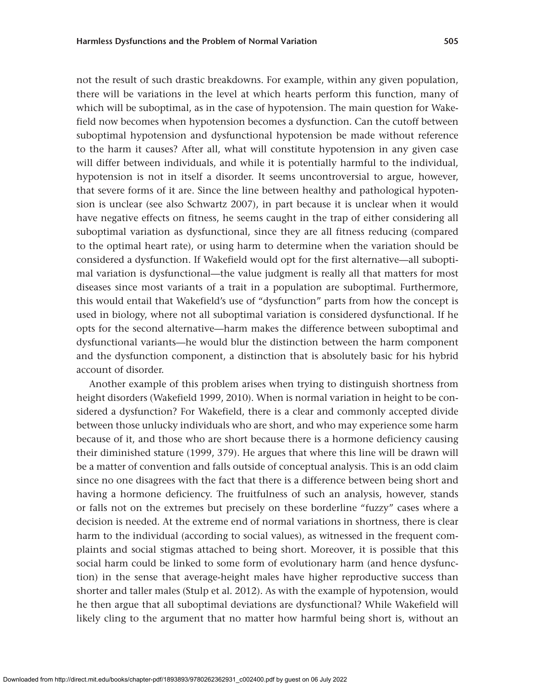not the result of such drastic breakdowns. For example, within any given population, there will be variations in the level at which hearts perform this function, many of which will be suboptimal, as in the case of hypotension. The main question for Wakefield now becomes when hypotension becomes a dysfunction. Can the cutoff between suboptimal hypotension and dysfunctional hypotension be made without reference to the harm it causes? After all, what will constitute hypotension in any given case will differ between individuals, and while it is potentially harmful to the individual, hypotension is not in itself a disorder. It seems uncontroversial to argue, however, that severe forms of it are. Since the line between healthy and pathological hypotension is unclear (see also Schwartz 2007), in part because it is unclear when it would have negative effects on fitness, he seems caught in the trap of either considering all suboptimal variation as dysfunctional, since they are all fitness reducing (compared to the optimal heart rate), or using harm to determine when the variation should be considered a dysfunction. If Wakefield would opt for the first alternative—all suboptimal variation is dysfunctional—the value judgment is really all that matters for most diseases since most variants of a trait in a population are suboptimal. Furthermore, this would entail that Wakefield's use of "dysfunction" parts from how the concept is used in biology, where not all suboptimal variation is considered dysfunctional. If he opts for the second alternative—harm makes the difference between suboptimal and dysfunctional variants—he would blur the distinction between the harm component and the dysfunction component, a distinction that is absolutely basic for his hybrid account of disorder.

Another example of this problem arises when trying to distinguish shortness from height disorders (Wakefield 1999, 2010). When is normal variation in height to be considered a dysfunction? For Wakefield, there is a clear and commonly accepted divide between those unlucky individuals who are short, and who may experience some harm because of it, and those who are short because there is a hormone deficiency causing their diminished stature (1999, 379). He argues that where this line will be drawn will be a matter of convention and falls outside of conceptual analysis. This is an odd claim since no one disagrees with the fact that there is a difference between being short and having a hormone deficiency. The fruitfulness of such an analysis, however, stands or falls not on the extremes but precisely on these borderline "fuzzy" cases where a decision is needed. At the extreme end of normal variations in shortness, there is clear harm to the individual (according to social values), as witnessed in the frequent complaints and social stigmas attached to being short. Moreover, it is possible that this social harm could be linked to some form of evolutionary harm (and hence dysfunction) in the sense that average-height males have higher reproductive success than shorter and taller males (Stulp et al. 2012). As with the example of hypotension, would he then argue that all suboptimal deviations are dysfunctional? While Wakefield will likely cling to the argument that no matter how harmful being short is, without an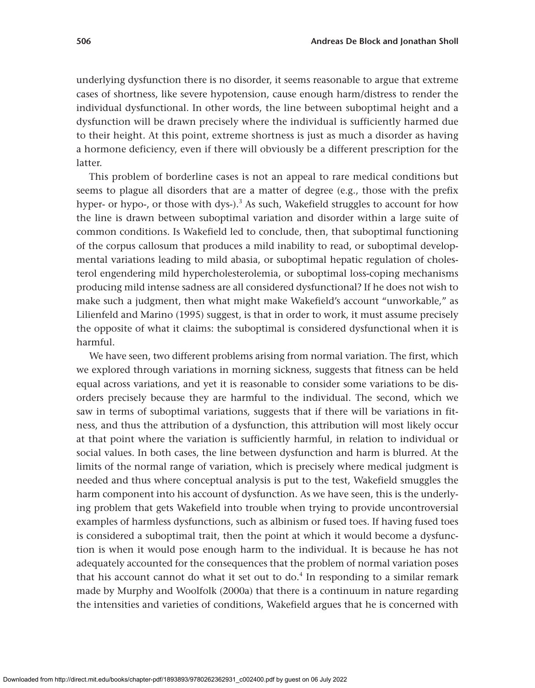underlying dysfunction there is no disorder, it seems reasonable to argue that extreme cases of shortness, like severe hypotension, cause enough harm/distress to render the individual dysfunctional. In other words, the line between suboptimal height and a dysfunction will be drawn precisely where the individual is sufficiently harmed due to their height. At this point, extreme shortness is just as much a disorder as having a hormone deficiency, even if there will obviously be a different prescription for the latter.

This problem of borderline cases is not an appeal to rare medical conditions but seems to plague all disorders that are a matter of degree (e.g., those with the prefix hyper- or hypo-, or those with dys- $)^3$ . As such, Wakefield struggles to account for how the line is drawn between suboptimal variation and disorder within a large suite of common conditions. Is Wakefield led to conclude, then, that suboptimal functioning of the corpus callosum that produces a mild inability to read, or suboptimal developmental variations leading to mild abasia, or suboptimal hepatic regulation of cholesterol engendering mild hypercholesterolemia, or suboptimal loss-coping mechanisms producing mild intense sadness are all considered dysfunctional? If he does not wish to make such a judgment, then what might make Wakefield's account "unworkable," as Lilienfeld and Marino (1995) suggest, is that in order to work, it must assume precisely the opposite of what it claims: the suboptimal is considered dysfunctional when it is harmful.

We have seen, two different problems arising from normal variation. The first, which we explored through variations in morning sickness, suggests that fitness can be held equal across variations, and yet it is reasonable to consider some variations to be disorders precisely because they are harmful to the individual. The second, which we saw in terms of suboptimal variations, suggests that if there will be variations in fitness, and thus the attribution of a dysfunction, this attribution will most likely occur at that point where the variation is sufficiently harmful, in relation to individual or social values. In both cases, the line between dysfunction and harm is blurred. At the limits of the normal range of variation, which is precisely where medical judgment is needed and thus where conceptual analysis is put to the test, Wakefield smuggles the harm component into his account of dysfunction. As we have seen, this is the underlying problem that gets Wakefield into trouble when trying to provide uncontroversial examples of harmless dysfunctions, such as albinism or fused toes. If having fused toes is considered a suboptimal trait, then the point at which it would become a dysfunction is when it would pose enough harm to the individual. It is because he has not adequately accounted for the consequences that the problem of normal variation poses that his account cannot do what it set out to do. $4$  In responding to a similar remark made by Murphy and Woolfolk (2000a) that there is a continuum in nature regarding the intensities and varieties of conditions, Wakefield argues that he is concerned with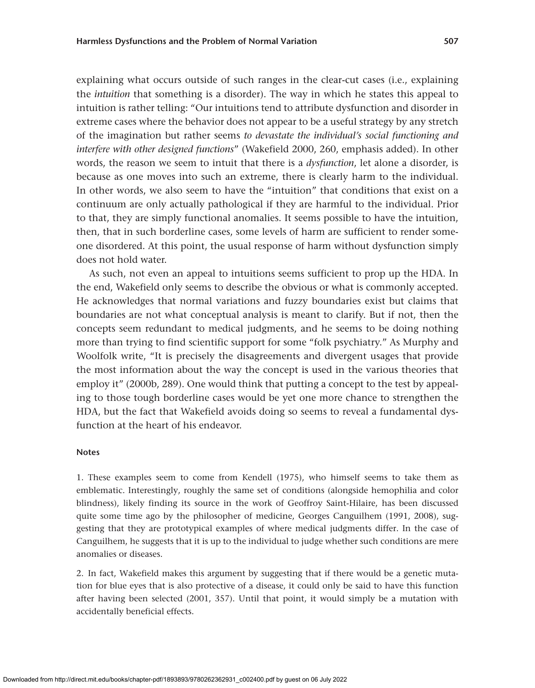explaining what occurs outside of such ranges in the clear-cut cases (i.e., explaining the *intuition* that something is a disorder). The way in which he states this appeal to intuition is rather telling: "Our intuitions tend to attribute dysfunction and disorder in extreme cases where the behavior does not appear to be a useful strategy by any stretch of the imagination but rather seems *to devastate the individual's social functioning and interfere with other designed functions*" (Wakefield 2000, 260, emphasis added). In other words, the reason we seem to intuit that there is a *dysfunction*, let alone a disorder, is because as one moves into such an extreme, there is clearly harm to the individual. In other words, we also seem to have the "intuition" that conditions that exist on a continuum are only actually pathological if they are harmful to the individual. Prior to that, they are simply functional anomalies. It seems possible to have the intuition, then, that in such borderline cases, some levels of harm are sufficient to render someone disordered. At this point, the usual response of harm without dysfunction simply does not hold water.

As such, not even an appeal to intuitions seems sufficient to prop up the HDA. In the end, Wakefield only seems to describe the obvious or what is commonly accepted. He acknowledges that normal variations and fuzzy boundaries exist but claims that boundaries are not what conceptual analysis is meant to clarify. But if not, then the concepts seem redundant to medical judgments, and he seems to be doing nothing more than trying to find scientific support for some "folk psychiatry." As Murphy and Woolfolk write, "It is precisely the disagreements and divergent usages that provide the most information about the way the concept is used in the various theories that employ it" (2000b, 289). One would think that putting a concept to the test by appealing to those tough borderline cases would be yet one more chance to strengthen the HDA, but the fact that Wakefield avoids doing so seems to reveal a fundamental dysfunction at the heart of his endeavor.

#### **Notes**

1. These examples seem to come from Kendell (1975), who himself seems to take them as emblematic. Interestingly, roughly the same set of conditions (alongside hemophilia and color blindness), likely finding its source in the work of Geoffroy Saint-Hilaire, has been discussed quite some time ago by the philosopher of medicine, Georges Canguilhem (1991, 2008), suggesting that they are prototypical examples of where medical judgments differ. In the case of Canguilhem, he suggests that it is up to the individual to judge whether such conditions are mere anomalies or diseases.

2. In fact, Wakefield makes this argument by suggesting that if there would be a genetic mutation for blue eyes that is also protective of a disease, it could only be said to have this function after having been selected (2001, 357). Until that point, it would simply be a mutation with accidentally beneficial effects.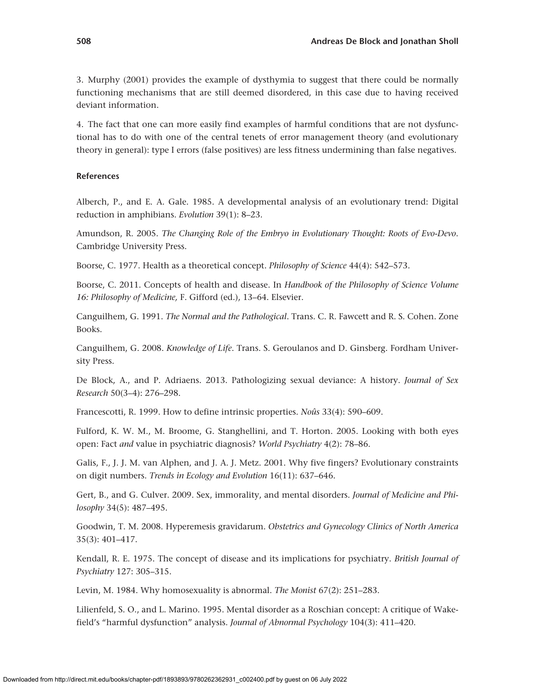3. Murphy (2001) provides the example of dysthymia to suggest that there could be normally functioning mechanisms that are still deemed disordered, in this case due to having received deviant information.

4. The fact that one can more easily find examples of harmful conditions that are not dysfunctional has to do with one of the central tenets of error management theory (and evolutionary theory in general): type I errors (false positives) are less fitness undermining than false negatives.

#### **References**

Alberch, P., and E. A. Gale. 1985. A developmental analysis of an evolutionary trend: Digital reduction in amphibians. *Evolution* 39(1): 8–23.

Amundson, R. 2005. *The Changing Role of the Embryo in Evolutionary Thought: Roots of Evo-Devo*. Cambridge University Press.

Boorse, C. 1977. Health as a theoretical concept. *Philosophy of Science* 44(4): 542–573.

Boorse, C. 2011. Concepts of health and disease. In *Handbook of the Philosophy of Science Volume 16: Philosophy of Medicine,* F. Gifford (ed.), 13–64. Elsevier.

Canguilhem, G. 1991. *The Normal and the Pathological*. Trans. C. R. Fawcett and R. S. Cohen. Zone Books.

Canguilhem, G. 2008. *Knowledge of Life*. Trans. S. Geroulanos and D. Ginsberg. Fordham University Press.

De Block, A., and P. Adriaens. 2013. Pathologizing sexual deviance: A history. *Journal of Sex Research* 50(3–4): 276–298.

Francescotti, R. 1999. How to define intrinsic properties. *Noûs* 33(4): 590–609.

Fulford, K. W. M., M. Broome, G. Stanghellini, and T. Horton. 2005. Looking with both eyes open: Fact *and* value in psychiatric diagnosis? *World Psychiatry* 4(2): 78–86.

Galis, F., J. J. M. van Alphen, and J. A. J. Metz. 2001. Why five fingers? Evolutionary constraints on digit numbers. *Trends in Ecology and Evolution* 16(11): 637–646.

Gert, B., and G. Culver. 2009. Sex, immorality, and mental disorders. *Journal of Medicine and Philosophy* 34(5): 487–495.

Goodwin, T. M. 2008. Hyperemesis gravidarum. *Obstetrics and Gynecology Clinics of North America* 35(3): 401–417.

Kendall, R. E. 1975. The concept of disease and its implications for psychiatry. *British Journal of Psychiatry* 127: 305–315.

Levin, M. 1984. Why homosexuality is abnormal. *The Monist* 67(2): 251–283.

Lilienfeld, S. O., and L. Marino. 1995. Mental disorder as a Roschian concept: A critique of Wakefield's "harmful dysfunction" analysis. *Journal of Abnormal Psychology* 104(3): 411–420.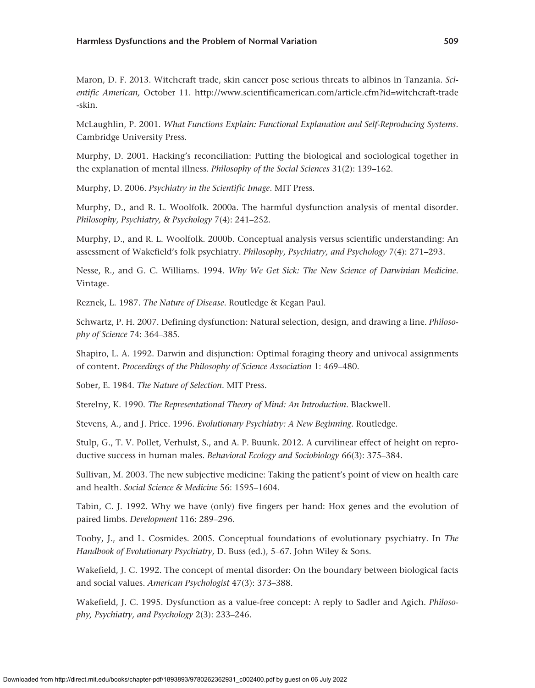Maron, D. F. 2013. Witchcraft trade, skin cancer pose serious threats to albinos in Tanzania. *Scientific American,* October 11. [http://www.scientificamerican.com/article.cfm?id=witchcraft-trade](http://www.scientificamerican.com/article.cfm?id=witchcraft-trade-skin) [-skin.](http://www.scientificamerican.com/article.cfm?id=witchcraft-trade-skin)

McLaughlin, P. 2001. *What Functions Explain: Functional Explanation and Self-Reproducing Systems.* Cambridge University Press.

Murphy, D. 2001. Hacking's reconciliation: Putting the biological and sociological together in the explanation of mental illness. *Philosophy of the Social Sciences* 31(2): 139–162.

Murphy, D. 2006. *Psychiatry in the Scientific Image*. MIT Press.

Murphy, D., and R. L. Woolfolk. 2000a. The harmful dysfunction analysis of mental disorder. *Philosophy, Psychiatry, & Psychology* 7(4): 241–252.

Murphy, D., and R. L. Woolfolk. 2000b. Conceptual analysis versus scientific understanding: An assessment of Wakefield's folk psychiatry. *Philosophy, Psychiatry, and Psychology* 7(4): 271–293.

Nesse, R., and G. C. Williams. 1994. *Why We Get Sick: The New Science of Darwinian Medicine*. Vintage.

Reznek, L. 1987. *The Nature of Disease*. Routledge & Kegan Paul.

Schwartz, P. H. 2007. Defining dysfunction: Natural selection, design, and drawing a line. *Philosophy of Science* 74: 364–385.

Shapiro, L. A. 1992. Darwin and disjunction: Optimal foraging theory and univocal assignments of content. *Proceedings of the Philosophy of Science Association* 1: 469–480.

Sober, E. 1984. *The Nature of Selection*. MIT Press.

Sterelny, K. 1990. *The Representational Theory of Mind: An Introduction*. Blackwell.

Stevens, A., and J. Price. 1996. *Evolutionary Psychiatry: A New Beginning*. Routledge.

Stulp, G., T. V. Pollet, Verhulst, S., and A. P. Buunk. 2012. A curvilinear effect of height on reproductive success in human males. *Behavioral Ecology and Sociobiology* 66(3): 375–384.

Sullivan, M. 2003. The new subjective medicine: Taking the patient's point of view on health care and health. *Social Science & Medicine* 56: 1595–1604.

Tabin, C. J. 1992. Why we have (only) five fingers per hand: Hox genes and the evolution of paired limbs. *Development* 116: 289–296.

Tooby, J., and L. Cosmides. 2005. Conceptual foundations of evolutionary psychiatry. In *The Handbook of Evolutionary Psychiatry,* D. Buss (ed.), 5–67. John Wiley & Sons.

Wakefield, J. C. 1992. The concept of mental disorder: On the boundary between biological facts and social values. *American Psychologist* 47(3): 373–388.

Wakefield, J. C. 1995. Dysfunction as a value-free concept: A reply to Sadler and Agich. *Philosophy, Psychiatry, and Psychology* 2(3): 233–246.